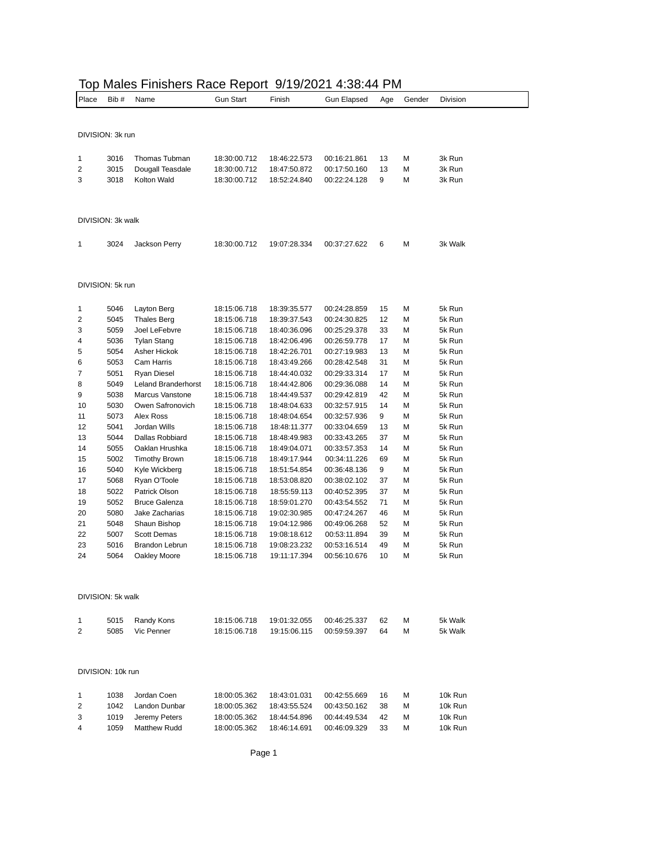| Place          | Bib #             | Name                                  | <b>Gun Start</b>             | Finish                       | <b>Gun Elapsed</b>           | Age      | Gender | Division         |
|----------------|-------------------|---------------------------------------|------------------------------|------------------------------|------------------------------|----------|--------|------------------|
|                |                   |                                       |                              |                              |                              |          |        |                  |
|                |                   |                                       |                              |                              |                              |          |        |                  |
|                | DIVISION: 3k run  |                                       |                              |                              |                              |          |        |                  |
|                |                   |                                       |                              |                              |                              |          |        |                  |
| 1              | 3016              | Thomas Tubman                         | 18:30:00.712                 | 18:46:22.573                 | 00:16:21.861                 | 13       | М      | 3k Run           |
| 2              | 3015              | Dougall Teasdale                      | 18:30:00.712                 | 18:47:50.872                 | 00:17:50.160                 | 13       | М      | 3k Run           |
| 3              | 3018              | Kolton Wald                           | 18:30:00.712                 | 18:52:24.840                 | 00:22:24.128                 | 9        | М      | 3k Run           |
|                |                   |                                       |                              |                              |                              |          |        |                  |
|                |                   |                                       |                              |                              |                              |          |        |                  |
|                | DIVISION: 3k walk |                                       |                              |                              |                              |          |        |                  |
|                |                   |                                       |                              |                              |                              |          |        |                  |
| 1              | 3024              | Jackson Perry                         | 18:30:00.712                 | 19:07:28.334                 | 00:37:27.622                 | 6        | М      | 3k Walk          |
|                |                   |                                       |                              |                              |                              |          |        |                  |
|                |                   |                                       |                              |                              |                              |          |        |                  |
|                |                   |                                       |                              |                              |                              |          |        |                  |
|                | DIVISION: 5k run  |                                       |                              |                              |                              |          |        |                  |
| 1              | 5046              | Layton Berg                           | 18:15:06.718                 | 18:39:35.577                 | 00:24:28.859                 | 15       | М      | 5k Run           |
| 2              | 5045              | <b>Thales Berg</b>                    | 18:15:06.718                 | 18:39:37.543                 | 00:24:30.825                 | 12       | M      | 5k Run           |
| 3              | 5059              | Joel LeFebvre                         | 18:15:06.718                 | 18:40:36.096                 | 00:25:29.378                 | 33       | М      | 5k Run           |
| 4              | 5036              | <b>Tylan Stang</b>                    | 18:15:06.718                 | 18:42:06.496                 | 00:26:59.778                 | 17       | М      | 5k Run           |
| 5              | 5054              | Asher Hickok                          | 18:15:06.718                 | 18:42:26.701                 | 00:27:19.983                 | 13       | М      | 5k Run           |
| 6              | 5053              | Cam Harris                            | 18:15:06.718                 | 18:43:49.266                 | 00:28:42.548                 | 31       | М      | 5k Run           |
| 7              | 5051              | <b>Ryan Diesel</b>                    | 18:15:06.718                 | 18:44:40.032                 | 00:29:33.314                 | 17       | М      | 5k Run           |
| 8              | 5049              | Leland Branderhorst                   | 18:15:06.718                 | 18:44:42.806                 | 00:29:36.088                 | 14       | М      | 5k Run           |
| 9              | 5038              | <b>Marcus Vanstone</b>                | 18:15:06.718                 | 18:44:49.537                 | 00:29:42.819                 | 42       | М      | 5k Run           |
| 10             | 5030              | Owen Safronovich                      | 18:15:06.718                 | 18:48:04.633                 | 00:32:57.915                 | 14       | М      | 5k Run           |
| 11             | 5073              | Alex Ross                             | 18:15:06.718                 | 18:48:04.654                 | 00:32:57.936                 | 9        | М      | 5k Run           |
| 12             | 5041              | Jordan Wills                          | 18:15:06.718                 | 18:48:11.377                 | 00:33:04.659                 | 13       | М      | 5k Run           |
| 13             | 5044              | Dallas Robbiard                       | 18:15:06.718                 | 18:48:49.983                 | 00:33:43.265                 | 37       | М      | 5k Run           |
| 14             | 5055              | Oaklan Hrushka                        | 18:15:06.718                 | 18:49:04.071                 | 00:33:57.353                 | 14<br>69 | М<br>M | 5k Run           |
| 15<br>16       | 5002<br>5040      | <b>Timothy Brown</b><br>Kyle Wickberg | 18:15:06.718<br>18:15:06.718 | 18:49:17.944<br>18:51:54.854 | 00:34:11.226<br>00:36:48.136 | 9        | М      | 5k Run<br>5k Run |
| 17             | 5068              | Ryan O'Toole                          | 18:15:06.718                 | 18:53:08.820                 | 00:38:02.102                 | 37       | М      | 5k Run           |
| 18             | 5022              | Patrick Olson                         | 18:15:06.718                 | 18:55:59.113                 | 00:40:52.395                 | 37       | M      | 5k Run           |
| 19             | 5052              | <b>Bruce Galenza</b>                  | 18:15:06.718                 | 18:59:01.270                 | 00:43:54.552                 | 71       | М      | 5k Run           |
| 20             | 5080              | Jake Zacharias                        | 18:15:06.718                 | 19:02:30.985                 | 00:47:24.267                 | 46       | М      | 5k Run           |
| 21             | 5048              | Shaun Bishop                          | 18:15:06.718                 | 19:04:12.986                 | 00:49:06.268                 | 52       | M      | 5k Run           |
| 22             | 5007              | Scott Demas                           | 18:15:06.718                 | 19:08:18.612                 | 00:53:11.894                 | 39       | М      | 5k Run           |
| 23             | 5016              | <b>Brandon Lebrun</b>                 | 18:15:06.718                 | 19:08:23.232                 | 00:53:16.514                 | 49       | M      | 5k Run           |
| 24             | 5064              | Oakley Moore                          | 18:15:06.718                 | 19:11:17.394                 | 00:56:10.676                 | 10       | M      | 5k Run           |
|                |                   |                                       |                              |                              |                              |          |        |                  |
|                |                   |                                       |                              |                              |                              |          |        |                  |
|                | DIVISION: 5k walk |                                       |                              |                              |                              |          |        |                  |
|                |                   |                                       |                              |                              |                              |          |        |                  |
| 1              | 5015              | Randy Kons                            | 18:15:06.718                 | 19:01:32.055                 | 00:46:25.337                 | 62       | М      | 5k Walk          |
| $\overline{2}$ | 5085              | Vic Penner                            | 18:15:06.718                 | 19:15:06.115                 | 00:59:59.397                 | 64       | М      | 5k Walk          |
|                |                   |                                       |                              |                              |                              |          |        |                  |
|                |                   |                                       |                              |                              |                              |          |        |                  |
|                | DIVISION: 10k run |                                       |                              |                              |                              |          |        |                  |
|                |                   |                                       |                              |                              |                              |          |        |                  |
| 1              | 1038              | Jordan Coen                           | 18:00:05.362                 | 18:43:01.031                 | 00:42:55.669                 | 16       | М      | 10k Run          |
| 2              | 1042              | Landon Dunbar                         | 18:00:05.362                 | 18:43:55.524                 | 00:43:50.162                 | 38       | М      | 10k Run          |
| 3              | 1019              | Jeremy Peters                         | 18:00:05.362                 | 18:44:54.896                 | 00:44:49.534                 | 42       | М      | 10k Run          |
| 4              | 1059              | <b>Matthew Rudd</b>                   | 18:00:05.362                 | 18:46:14.691                 | 00:46:09.329                 | 33       | М      | 10k Run          |

## Top Males Finishers Race Report 9/19/2021 4:38:44 PM